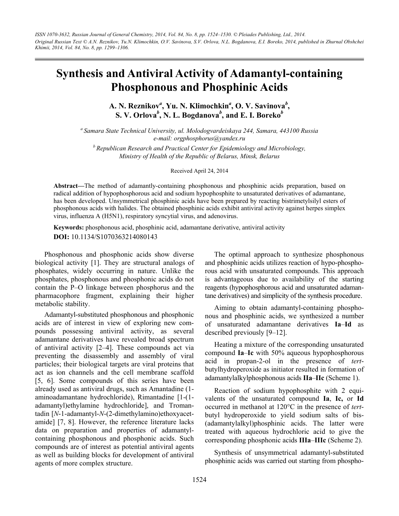*ISSN 1070-3632, Russian Journal of General Chemistry, 2014, Vol. 84, No. 8, pp. 1524–1530. © Pleiades Publishing, Ltd., 2014. Original Russian Text © A.N. Reznikov, Yu.N. Klimochkin, O.V. Savinova, S.V. Orlova, N.L. Bogdanova, E.I. Boreko, 2014, published in Zhurnal Obshchei Khimii, 2014, Vol. 84, No. 8, pp. 1299–1306.* 

# **Synthesis and Antiviral Activity of Adamantyl-containing Phosphonous and Phosphinic Acids**

A. N. Reznikov<sup>a</sup>, Yu. N. Klimochkin<sup>a</sup>, O. V. Savinova<sup>b</sup>, **S. V. Orlova***<sup>b</sup>* **, N. L. Bogdanova***<sup>b</sup>* **, and E. I. Boreko***<sup>b</sup>*

*a Samara State Technical University, ul. Molodogvardeiskaya 244, Samara, 443100 Russia e-mail: orgphosphorus@yandex.ru* 

*b Republican Research and Practical Center for Epidemiology and Microbiology, Ministry of Health of the Republic of Belarus, Minsk, Belarus* 

### Received April 24, 2014

**Abstract—**The method of adamantly-containing phosphonous and phosphinic acids preparation, based on radical addition of hypophosphorous acid and sodium hypophosphite to unsaturated derivatives of adamantane, has been developed. Unsymmetrical phosphinic acids have been prepared by reacting bistrimetylsilyl esters of phosphonous acids with halides. The obtained phosphinic acids exhibit antiviral activity against herpes simplex virus, influenza A (H5N1), respiratory syncytial virus, and adenovirus.

**Keywords:** phosphonous acid, phosphinic acid, adamantane derivative, antiviral activity **DOI:** 10.1134/S1070363214080143

Phosphonous and phosphonic acids show diverse biological activity [1]. They are structural analogs of phosphates, widely occurring in nature. Unlike the phosphates, phosphonous and phosphonic acids do not contain the P–O linkage between phosphorus and the pharmacophore fragment, explaining their higher metabolic stability.

Adamantyl-substituted phosphonous and phosphonic acids are of interest in view of exploring new compounds possessing antiviral activity, as several adamantane derivatives have revealed broad spectrum of antiviral activity [2–4]. These compounds act via preventing the disassembly and assembly of viral particles; their biological targets are viral proteins that act as ion channels and the cell membrane scaffold [5, 6]. Some compounds of this series have been already used as antiviral drugs, such as Amantadine (1 aminoadamantane hydrochloride), Rimantadine [1-(1 adamantyl)ethylamine hydrochloride], and Tromantadin [*N*-1-adamantyl-*N*-(2-dimethylamino)ethoxyacetamide] [7, 8]. However, the reference literature lacks data on preparation and properties of adamantylcontaining phosphonous and phosphonic acids. Such compounds are of interest as potential antiviral agents as well as building blocks for development of antiviral agents of more complex structure.

The optimal approach to synthesize phosphonous and phosphinic acids utilizes reaction of hypo-phosphorous acid with unsaturated compounds. This approach is advantageous due to availability of the starting reagents (hypophosphorous acid and unsaturated adamantane derivatives) and simplicity of the synthesis procedure.

Aiming to obtain adamantyl-containing phosphonous and phosphinic acids, we synthesized a number of unsaturated adamantane derivatives **Ia**–**Id** as described previously [9–12].

Heating a mixture of the corresponding unsaturated compound **Ia**–**Ic** with 50% aqueous hypophosphorous acid in propan-2-ol in the presence of *tert*butylhydroperoxide as initiator resulted in formation of adamantylalkylphosphonous acids **IIa**–**IIc** (Scheme 1).

Reaction of sodium hypophosphite with 2 equivalents of the unsaturated compound **Ia**, **Ic,** or **Id** occurred in methanol at 120°C in the presence of *tert*butyl hydroperoxide to yield sodium salts of bis- (adamantylalkyl)phosphinic acids. The latter were treated with aqueous hydrochloric acid to give the corresponding phosphonic acids **IIIa**–**IIIc** (Scheme 2).

Synthesis of unsymmetrical adamantyl-substituted phosphinic acids was carried out starting from phospho-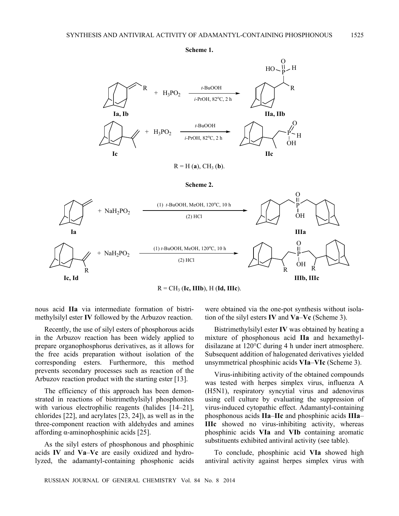



 $R = H(a)$ , CH<sub>3</sub> (**b**).

**Scheme 2.** 



nous acid **IIa** via intermediate formation of bistrimethylsilyl ester **IV** followed by the Arbuzov reaction.

Recently, the use of silyl esters of phosphorous acids in the Arbuzov reaction has been widely applied to prepare organophosphorus derivatives, as it allows for the free acids preparation without isolation of the corresponding esters. Furthermore, this method prevents secondary processes such as reaction of the Arbuzov reaction product with the starting ester [13].

The efficiency of this approach has been demonstrated in reactions of bistrimethylsilyl phosphonites with various electrophilic reagents (halides [14–21], chlorides [22], and acrylates [23, 24]), as well as in the three-component reaction with aldehydes and amines affording α-aminophosphinic acids [25].

As the silyl esters of phosphonous and phosphinic acids **IV** and **Va**–**Vc** are easily oxidized and hydrolyzed, the adamantyl-containing phosphonic acids were obtained via the one-pot synthesis without isolation of the silyl esters **IV** and **Va**–**Vc** (Scheme 3).

Bistrimethylsilyl ester **IV** was obtained by heating a mixture of phosphonous acid **IIa** and hexamethyldisilazane at 120°C during 4 h under inert atmosphere. Subsequent addition of halogenated derivatives yielded unsymmetrical phosphinic acids **VIa**–**VIc** (Scheme 3).

Virus-inhibiting activity of the obtained compounds was tested with herpes simplex virus, influenza A (H5N1), respiratory syncytial virus and adenovirus using cell culture by evaluating the suppression of virus-induced cytopathic effect. Adamantyl-containing phosphonous acids **IIa**–**IIc** and phosphinic acids **IIIa**– **IIIc** showed no virus-inhibiting activity, whereas phosphinic acids **VIa** and **VIb** containing aromatic substituents exhibited antiviral activity (see table).

To conclude, phosphinic acid **VIa** showed high antiviral activity against herpes simplex virus with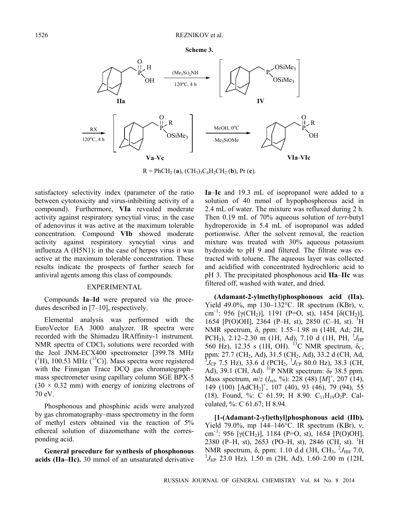



 $R = PhCH_2 (a)$ ,  $(CH_3)_3C_6H_2CH_2 (b)$ , Pr (**c**).

satisfactory selectivity index (parameter of the ratio between cytotoxicity and virus-inhibiting activity of a compound). Furthermore, **VIa** revealed moderate activity against respiratory syncytial virus; in the case of adenovirus it was active at the maximum tolerable concentration. Compound **VIb** showed moderate activity against respiratory syncytial virus and influenza A (H5N1); in the case of herpes virus it was active at the maximum tolerable concentration. These results indicate the prospects of further search for antiviral agents among this class of compounds.

## EXPERIMENTAL

Compounds **Ia–Id** were prepared via the procedures described in [7–10], respectively.

Elemental analysis was performed with the EuroVector EA 3000 analyzer. IR spectra were recorded with the Shimadzu IRAffinity-1 instrument. NMR spectra of CDCl<sub>3</sub> solutions were recorded with the Jeol JNM-ECX400 spectrometer [399.78 MHz  $({}^{1}H)$ , 100.53 MHz  $({}^{13}C)$ ]. Mass spectra were registered with the Finnigan Trace DCQ gas chromatograph– mass spectrometer using capillary column SGE BPX-5  $(30 \times 0.32 \text{ mm})$  with energy of ionizing electrons of 70 eV.

Phosphonous and phosphinic acids were analyzed by gas chromatography–mass spectrometry in the form of methyl esters obtained via the reaction of 5% ethereal solution of diazomethane with the corresponding acid.

**General procedure for synthesis of phosphonous acids (IIa–IIc).** 30 mmol of an unsaturated derivative

**Ia**–**Ic** and 19.3 mL of isopropanol were added to a solution of 40 mmol of hypophosphorous acid in 2.4 mL of water. The mixture was refluxed during 2 h. Then 0.19 mL of 70% aqueous solution of *tert*-butyl hydroperoxide in 5.4 mL of isopropanol was added portionwise. After the solvent removal, the reaction mixture was treated with 30% aqueous potassium hydroxide to pH 9 and filtered. The filtrate was extracted with toluene. The aqueous layer was collected and acidified with concentrated hydrochloric acid to pH 3. The precipitated phosphonous acid **IIa**–**IIc** was filtered off, washed with water, and dried.

**(Adamant-2-ylmethyl)phosphonous acid (IIa).** Yield 49.0%, mp 130–132°C. IR spectrum (KBr), ν, cm<sup>-1</sup>: 956 [γ(CH<sub>2</sub>)], 1191 (P=O, st), 1454 [δ(CH<sub>2</sub>)], 1654 [P(O)OH], 2364 (P-H, st), 2850 (C-H, st). <sup>1</sup>H NMR spectrum, δ, ppm: 1.55–1.98 m (14H, Ad; 2H, PCH<sub>2</sub>), 2.12–2.30 m (1H, Ad), 7.10 d (1H, PH, <sup>1</sup>J<sub>HP</sub> 560 Hz), 12.35 s (1H, OH). <sup>13</sup>C NMR spectrum,  $\delta_c$ , ppm: 27.7 (CH<sub>2</sub>, Ad), 31.5 (CH<sub>2</sub>, Ad), 33.2 d (CH, Ad,  ${}^{3}J_{CP}$  7.5 Hz), 33.6 d (PCH<sub>2</sub>,  ${}^{1}J_{CP}$  80.0 Hz), 38.3 (CH, Ad), 39.1 (CH, Ad).  $3^{1}P$  NMR spectrum:  $\delta_{P}$  38.5 ppm. Mass spectrum, *m*/*z* (*I*rel, %): 228 (48) [*M*] + , 207 (14), 149 (100) [AdCH<sub>2</sub>]<sup>+</sup>, 107 (40), 93 (46), 79 (94), 55 (18). Found, %: C 61.59; H 8.90.  $C_{11}H_{19}O_2P$ . Calculated, %: С 61.67; H 8.94.

**[1-(Adamant-2-yl)ethyl]phosphonous acid (IIb).** Yield 79.0%, mp 144–146°C. IR spectrum (KBr), ν, cm<sup>-1</sup>: 956 [γ(CH<sub>2</sub>)], 1184 (P=O, st), 1654 [P(O)OH], 2380 (P-H, st), 2653 (PO-H, st), 2846 (CH, st). <sup>1</sup>H NMR spectrum, δ, ppm: 1.10 d.d (3H, CH<sub>3</sub>, <sup>2</sup>J<sub>HH</sub> 7.0,  ${}^{3}J_{\text{HP}}$  23.0 Hz), 1.50 m (2H, Ad), 1.60–2.00 m (12H,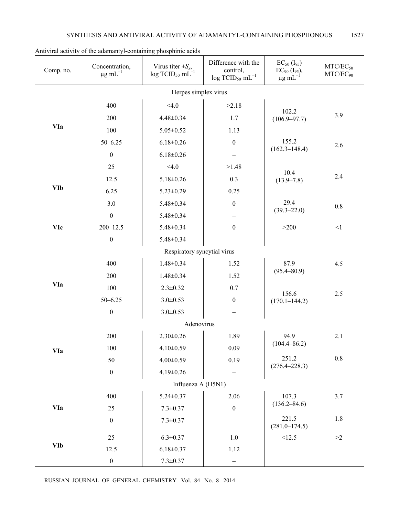| Comp. no.  | Concentration,<br>$\mu$ g mL $^{-1}$ | Virus titer $\pm S_x$ ,<br>$log TCID50 mL-1$ | Difference with the<br>control,<br>$log TCID50 mL-1$ | $EC_{50}$ (I <sub>95</sub> )<br>$EC_{90}$ (I <sub>95</sub> ),<br>$\mu$ g mL <sup>-1</sup> | $MTC/EC_{50}$<br>$MTC/EC_{90}$ |
|------------|--------------------------------------|----------------------------------------------|------------------------------------------------------|-------------------------------------------------------------------------------------------|--------------------------------|
|            |                                      | Herpes simplex virus                         |                                                      |                                                                                           |                                |
| <b>VIa</b> | 400                                  | < 4.0                                        | >2.18                                                | 102.2<br>$(106.9 - 97.7)$                                                                 |                                |
|            | 200                                  | $4.48 \pm 0.34$                              | 1.7                                                  |                                                                                           | 3.9                            |
|            | 100                                  | $5.05 \pm 0.52$                              | 1.13                                                 |                                                                                           |                                |
|            | $50 - 6.25$                          | $6.18 \pm 0.26$                              | $\boldsymbol{0}$                                     | 155.2<br>$(162.3 - 148.4)$                                                                | 2.6                            |
|            | $\boldsymbol{0}$                     | $6.18 \pm 0.26$                              |                                                      |                                                                                           |                                |
| <b>VIb</b> | 25                                   | < 4.0                                        | >1.48                                                | 10.4<br>$(13.9 - 7.8)$                                                                    | 2.4                            |
|            | 12.5                                 | $5.18 \pm 0.26$                              | 0.3                                                  |                                                                                           |                                |
|            | 6.25                                 | $5.23 \pm 0.29$                              | 0.25                                                 |                                                                                           |                                |
|            | 3.0                                  | 5.48±0.34                                    | $\boldsymbol{0}$                                     | 29.4<br>$(39.3 - 22.0)$<br>>200                                                           | $0.8\,$                        |
| <b>VIc</b> | $\boldsymbol{0}$                     | 5.48±0.34                                    |                                                      |                                                                                           |                                |
|            | $200 - 12.5$                         | $5.48 \pm 0.34$                              | $\boldsymbol{0}$                                     |                                                                                           | $<1\,$                         |
|            | $\boldsymbol{0}$                     | $5.48 \pm 0.34$                              |                                                      |                                                                                           |                                |
|            |                                      | Respiratory syncytial virus                  |                                                      |                                                                                           |                                |
| <b>VIa</b> | 400                                  | $1.48 \pm 0.34$                              | 1.52                                                 | 87.9<br>$(95.4 - 80.9)$                                                                   | 4.5                            |
|            | 200                                  | $1.48 \pm 0.34$                              | 1.52                                                 |                                                                                           |                                |
|            | 100                                  | $2.3 \pm 0.32$                               | 0.7                                                  | 156.6<br>$(170.1 - 144.2)$                                                                | 2.5                            |
|            | $50 - 6.25$                          | $3.0 \pm 0.53$                               | $\boldsymbol{0}$                                     |                                                                                           |                                |
|            | $\boldsymbol{0}$                     | $3.0 \pm 0.53$                               |                                                      |                                                                                           |                                |
|            |                                      | Adenovirus                                   |                                                      |                                                                                           |                                |
| <b>VIa</b> | 200                                  | $2.30 \pm 0.26$                              | 1.89                                                 | 94.9<br>$(104.4 - 86.2)$<br>251.2<br>$(276.4 - 228.3)$                                    | 2.1                            |
|            | 100                                  | $4.10 \pm 0.59$                              | 0.09                                                 |                                                                                           |                                |
|            | 50                                   | $4.00 \pm 0.59$                              | 0.19                                                 |                                                                                           | $0.8\,$                        |
|            | $\boldsymbol{0}$                     | $4.19 \pm 0.26$                              |                                                      |                                                                                           |                                |
|            |                                      | Influenza A (H5N1)                           |                                                      |                                                                                           |                                |
| <b>VIa</b> | 400                                  | $5.24 \pm 0.37$                              | 2.06                                                 | 107.3<br>$(136.2 - 84.6)$                                                                 | 3.7                            |
|            | 25                                   | $7.3 \pm 0.37$                               | $\boldsymbol{0}$                                     |                                                                                           |                                |
|            | $\boldsymbol{0}$                     | $7.3 \pm 0.37$                               |                                                      | 221.5<br>$(281.0 - 174.5)$                                                                | 1.8                            |
| <b>VIb</b> | 25                                   | $6.3 \pm 0.37$                               | $1.0\,$                                              | <12.5                                                                                     | $>\!\!2$                       |
|            | 12.5                                 | $6.18 \pm 0.37$                              | 1.12                                                 |                                                                                           |                                |
|            | $\boldsymbol{0}$                     | $7.3 \pm 0.37$                               |                                                      |                                                                                           |                                |

Antiviral activity of the adamantyl-containing phosphinic acids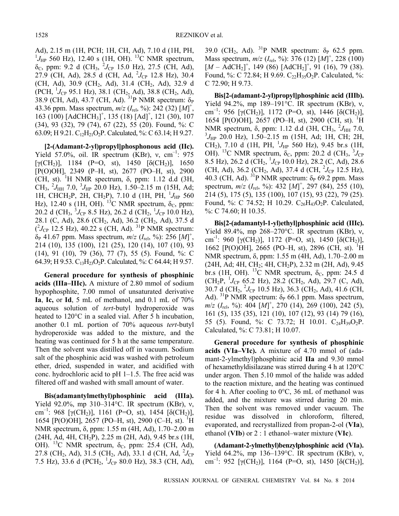Ad), 2.15 m (1Н, РСН; 1Н, СН, Ad), 7.10 d (1Н, PH,  $^{1}J_{\text{HP}}$  560 Hz), 12.40 s (1H, OH). <sup>13</sup>C NMR spectrum,  $\delta_{\rm C}$ , ppm: 9.2 d (CH<sub>3</sub>,  $^{2}J_{\rm CP}$  15.0 Hz), 27.5 (CH, Ad),  $27.9$  (CH, Ad), 28.5 d (CH, Ad,  $^{2}J_{CP}$  12.8 Hz), 30.4 (CH, Ad), 30.9 (CH<sub>2</sub>, Ad), 31.4 (CH<sub>2</sub>, Ad), 32.9 d (РСН, <sup>1</sup>J<sub>CP</sub> 95.1 Hz), 38.1 (СН<sub>2</sub>, Ad), 38.8 (СН<sub>2</sub>, Ad), 38.9 (CH, Ad), 43.7 (CH, Ad).  $^{31}P$  NMR spectrum:  $\delta_P$ 43.36 ppm. Mass spectrum, *m*/*z* (*I*rel, %): 242 (32) [*M*] + , 163 (100) [AdCHCH<sub>3</sub>]<sup>+</sup>, 135 (18) [Ad]<sup>+</sup>, 121 (30), 107 (34), 93 (32), 79 (74), 67 (22), 55 (20). Found, %: С 63.09; H 9.21.  $C_{12}H_{21}O_2P$ . Calculated, %: C 63.14; H 9.27.

**[2-(Adamant-2-yl)propyl]phosphonous acid (IIc).** Yield 57.0%, oil. IR spectrum (KBr),  $v$ , cm<sup>-1</sup>: 975  $[\gamma (CH_2)],$  1184 (P=O, st), 1450  $[\delta (CH_2)],$  1650 [P(O)OH], 2349 (P–H, st), 2677 (PO–H, st), 2900 (CH, st). <sup>1</sup> Н NMR spectrum, δ, ppm: 1.12 d.d (3H,  $CH_3$ ,  $^2J_{HH}$  7.0,  $^3J_{HP}$  20.0 Hz), 1.50–2.15 m (15H, Ad; 1Н, CHCH<sub>2</sub>P, 2H, CH<sub>2</sub>P), 7.10 d (1Н, PH, <sup>1</sup> J<sub>HP</sub> 560 Hz), 12.40 s (1H, OH). <sup>13</sup>C NMR spectrum,  $\delta_c$ , ppm:  $20.2$  d (CH<sub>3</sub>,  $^{3}J_{CP}$  8.5 Hz), 26.2 d (CH<sub>2</sub>,  $^{1}J_{CP}$  10.0 Hz), 28.1 (С, Ad), 28.6 (CH2, Ad), 36.2 (CH2, Ad), 37.5 d  $(^{2}J_{CP}$  12.5 Hz), 40.22 s (CH, Ad). <sup>31</sup>P NMR spectrum:  $\delta_P$  41.67 ppm. Mass spectrum,  $m/z$  ( $I_{rel}$ , %): 256 [M]<sup>+</sup>, 214 (10), 135 (100), 121 (25), 120 (14), 107 (10), 93 (14), 91 (10), 79 (36), 77 (7), 55 (5). Found, %: С 64.39; H 9.53. C13H23O2P. Calculated, %: С 64.44; H 9.57.

**General procedure for synthesis of phosphinic acids (IIIa–IIIc).** A mixture of 2.80 mmol of sodium hypophosphite, 7.00 mmol of unsaturated derivative **Ia**, **Ic,** or **Id**, 5 mL of methanol, and 0.1 mL of 70% aqueous solution of *tert*-butyl hydroperoxide was heated to 120°C in a sealed vial. After 5 h incubation, another 0.1 mL portion of 70% aqueous *tert*-butyl hydroperoxide was added to the mixture, and the heating was continued for 5 h at the same temperature. Then the solvent was distilled off in vacuum. Sodium salt of the phosphinic acid was washed with petroleum ether, dried, suspended in water, and acidified with conc. hydrochloric acid to pH 1–1.5. The free acid was filtered off and washed with small amount of water.

**Bis(adamantylmethyl)phosphinic acid (IIIa).** Yield 92.0%, mp 310–314 °C. IR spectrum (KBr),  $v$ , cm<sup>-1</sup>: 968 [γ(CH<sub>2</sub>)], 1161 (P=O, st), 1454 [δ(CH<sub>2</sub>)], 1654 [P(O)OH], 2657 (PO–H, st), 2900 (C–H, st). <sup>1</sup>H NMR spectrum, δ, ppm: 1.55 m (4Н, Ad), 1.70–2.00 m  $(24H, Ad, 4H, CH<sub>2</sub>P), 2.25 m (2H, Ad), 9.45 br.s (1H,$ OH). <sup>13</sup>C NMR spectrum,  $\delta_c$ , ppm: 25.4 (CH, Ad), 27.8 (CH<sub>2</sub>, Ad), 31.5 (CH<sub>2</sub>, Ad), 33.1 d (CH, Ad,  $^{2}J_{CP}$ 7.5 Hz), 33.6 d (PCH<sub>2</sub>, <sup>1</sup>J<sub>CP</sub> 80.0 Hz), 38.3 (CH, Ad), 39.0 (CH<sub>2</sub>, Ad). <sup>31</sup>P NMR spectrum:  $\delta_P$  62.5 ppm. Mass spectrum, *m*/*z* (*I*rel, %): 376 (12) [*M*] + , 228 (100)  $[M - \widehat{Ad}CH_2]^+$ , 149 (86)  $[AdCH_2]^+$ , 91 (16), 79 (38). Found, %: C 72.84; H 9.69.  $C_{22}H_{35}O_{2}P$ . Calculated, %: С 72.90; H 9.73.

**Bis[2-(adamant-2-yl)propyl]phosphinic acid (IIIb).** Yield 94.2%, mp 189–191°C. IR spectrum (KBr), ν, cm<sup>-1</sup>: 956 [γ(CH<sub>2</sub>)], 1172 (P=O, st), 1446 [δ(CH<sub>2</sub>)], 1654 [P(O)OH], 2657 (PO–H, st), 2900 (CH, st). <sup>1</sup>H NMR spectrum, δ, ppm: 1.12 d.d (3H, CH<sub>3</sub>, <sup>2</sup>J<sub>HH</sub> 7.0, 3 *J*HP 20.0 Hz), 1.50–2.15 m (15Н, Ad; 1H, CH; 2H, CH<sub>2</sub>), 7.10 d (1H, PH,  $^{1}J_{HP}$  560 Hz), 9.45 br.s (1H, OH). <sup>13</sup>C NMR spectrum,  $\delta_c$ , ppm: 20.2 d (CH<sub>3</sub>,  ${}^3J_{CP}$ 8.5 Hz), 26.2 d (CH<sub>2</sub>, <sup>1</sup>J<sub>CP</sub> 10.0 Hz), 28.2 (C, Ad), 28.6 (CH, Ad), 36.2 (CH<sub>2</sub>, Ad), 37.4 d (CH,  $^{2}J_{CP}$  12.5 Hz), 40.3 (CH, Ad).  $^{31}P$  NMR spectrum:  $\delta_P$  69.2 ppm. Mass spectrum, *m*/*z* (*I*rel, %): 432 [*M*] + , 297 (84), 255 (10), 214 (5), 175 (5), 135 (100), 107 (15), 93 (22), 79 (25). Found, %: С 74.52; Н 10.29. С<sub>26</sub>H<sub>43</sub>O<sub>2</sub>P. Calculated, %: С 74.60; H 10.35.

**Bis[2-(adamantyl-1-yl)ethyl]phosphinic acid (IIIc).** Yield 89.4%, mp  $268-270$ °C. IR spectrum (KBr), v, cm<sup>-1</sup>: 960 [γ(CH<sub>2</sub>)], 1172 (P=O, st), 1450 [δ(CH<sub>2</sub>)], 1662 [P(O)OH], 2665 (PO–H, st), 2896 (CH, st). <sup>1</sup>H NMR spectrum, δ, ppm: 1.55 m (4Н, Ad), 1.70–2.00 m  $(24H, Ad; 4H, CH<sub>2</sub>; 4H, CH<sub>2</sub>P), 2.32 m (2H, Ad), 9.45)$ br.s (1H, OH). <sup>13</sup>C NMR spectrum,  $\delta_c$ , ppm: 24.5 d  $(CH_2P, {}^{1}J_{CP}$  65.2 Hz), 28.2 (CH<sub>2</sub>, Ad), 29.7 (C, Ad),  $30.7$  d (CH<sub>2</sub>,  $^{2}J_{CP}$  10.5 Hz), 36.3 (CH<sub>2</sub>, Ad), 41.6 (CH, Ad). <sup>31</sup>P NMR spectrum:  $\delta_P$  66.1 ppm. Mass spectrum, *m*/*z* (*I*rel, %): 404 [*M*] + , 270 (14), 269 (100), 242 (5), 161 (5), 135 (35), 121 (10), 107 (12), 93 (14) 79 (16), 55 (5). Found, %: С 73.72; Н 10.01. С<sub>24</sub>H<sub>39</sub>O<sub>2</sub>P. Calculated, %: С 73.81; H 10.07.

**General procedure for synthesis of phosphinic acids (VIa–VIc).** A mixture of 4.70 mmol of (adamant-2-ylmethyl)phosphinic acid **IIa** and 9.30 mmol of hexamethyldisilazane was stirred during 4 h at 120°C under argon. Then 5.10 mmol of the halide was added to the reaction mixture, and the heating was continued for 4 h. After cooling to  $0^{\circ}$ C, 36 mL of methanol was added, and the mixture was stirred during 20 min. Then the solvent was removed under vacuum. The residue was dissolved in chloroform, filtered, evaporated, and recrystallized from propan-2-ol (**VIa**), ethanol (**VIb**) or 2 : 1 ethanol–water mixture (**VIc**).

**(Adamant-2-ylmethyl)benzylphosphinic acid (VIa).** Yield 64.2%, mp 136–139°C. IR spectrum (KBr), ν, cm<sup>-1</sup>: 952 [γ(CH<sub>2</sub>)], 1164 (P=O, st), 1450 [δ(CH<sub>2</sub>)],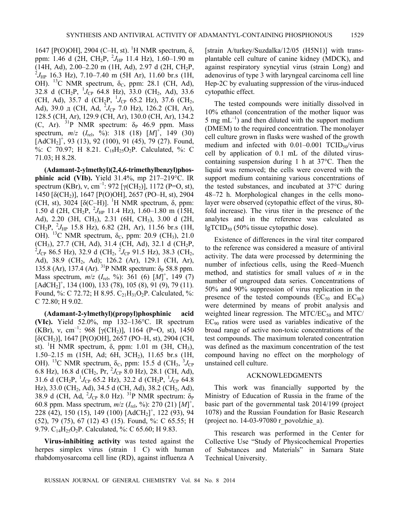1647 [P(O)OH], 2904 (C–H, st). <sup>1</sup>H NMR spectrum, δ, ppm: 1.46 d (2H, CH<sub>2</sub>P, <sup>2</sup>J<sub>HP</sub> 11.4 Hz), 1.60–1.90 m  $(14H, Ad), 2.00-2.20$  m (1H, Ad), 2.97 d (2H, CH<sub>2</sub>P,  $^{2}J_{\text{HP}}$  16.3 Hz), 7.10–7.40 m (5H Ar), 11.60 br.s (1H, OH). <sup>13</sup>C NMR spectrum,  $\delta_c$ , ppm: 28.1 (CH, Ad), 32.8 d (CH<sub>2</sub>P,  ${}^{1}J_{CP}$  64.8 Hz), 33.0 (CH<sub>2</sub>, Ad), 33.6 (CH, Ad), 35.7 d (CH<sub>2</sub>P,  $^{1}J_{CP}$  65.2 Hz), 37.6 (CH<sub>2</sub>, Ad), 39.0 д (CH, Ad,  $^{2}J_{CP}$  7.0 Hz), 126.2 (CH, Ar), 128.5 (CH, Ar), 129.9 (CH, Ar), 130.0 (CH, Ar), 134.2 (C, Ar).  $^{31}P$  NMR spectrum:  $\delta_P$  46.9 ppm. Mass spectrum,  $m/z$  ( $I_{\text{rel}}$ ,  $\frac{\dot{\phi_0}}{2}$ ): 318 (18)  $[M]^{\dagger}$ , 149 (30)  $[AdCH<sub>2</sub>]$ <sup>+</sup>, 93 (13), 92 (100), 91 (45), 79 (27). Found, %: C 70.97; H 8.21.  $C_{18}H_{25}O_2P$ . Calculated, %: C 71.03; H 8.28.

**(Adamant-2-ylmethyl)(2,4,6-trimethylbenzyl)phosphinic acid (VIb).** Yield 31.4%, mp 217–219°C. IR spectrum (KBr), v, cm<sup>-1</sup>: 972 [ $\gamma$ (CH<sub>2</sub>)], 1172 (P=O, st), 1450 [δ(CH2)], 1647 [P(O)OH], 2657 (PO–H, st), 2904 (CH, st),  $3024$  [ $\delta$ (C–H)]. <sup>1</sup>H NMR spectrum,  $\delta$ , ppm: 1.50 d (2H, CH<sub>2</sub>P, <sup>2</sup> $J_{HP}$  11.4 Hz), 1.60–1.80 m (15H, Ad), 2.20 (3H, CH3), 2.31 (6H, CH3), 3.00 d (2H,  $CH_2P$ ,  $^2J_{HP}$  15.8 Hz), 6.82 (2H, Ar), 11.56 br.s (1H, OH). <sup>13</sup>C NMR spectrum, δ<sub>C</sub>, ppm: 20.9 (CH<sub>3</sub>), 21.0 (CH<sub>3</sub>), 27.7 (CH, Ad), 31.4 (CH, Ad), 32.1 d (CH<sub>2</sub>P, <sup>2</sup>*J*<sub>CP</sub> 86.5 Hz), 32.9 d (CH<sub>2</sub>, <sup>2</sup>*J*<sub>CP</sub> 91.5 Hz), 38.3 (CH<sub>2</sub>, Ad), 38.9 (CH<sub>2</sub>, Ad); 126.2 (Ar), 129.1 (CH, Ar), 135.8 (Ar), 137.4 (Ar). <sup>31</sup>P NMR spectrum: δ<sub>P</sub> 58.8 ppm. Mass spectrum, *m*/*z* (*I*rel, %): 361 (6) [*M*] + , 149 (7)  $[AdCH<sub>2</sub>]<sup>+</sup>$ , 134 (100), 133 (78), 105 (8), 91 (9), 79 (11). Found, %: C 72.72; H 8.95.  $C_{21}H_{31}O_2P$ . Calculated, %: С 72.80; H 9.02.

**(Adamant-2-ylmethyl)(propyl)phosphinic acid (VIc).** Yield 52.0%, mp 132–136°C. IR spectrum (KBr), v, cm<sup>-1</sup>: 968 [ $\gamma$ (CH<sub>2</sub>)], 1164 (P=O, st), 1450  $[\delta (CH_2)]$ , 1647 [P(O)OH], 2657 (PO–H, st), 2904 (CH, st). <sup>1</sup>H NMR spectrum, δ, ppm: 1.01 m (3H, CH<sub>3</sub>), 1.50–2.15 m (15H, Ad; 6H, 3CH<sub>2</sub>), 11.65 br.s (1H, OH). <sup>13</sup>C NMR spectrum,  $\delta_c$ , ppm: 15.5 d (CH<sub>3</sub>,  ${}^3J_{CP}$ 6.8 Hz), 16.8 d (CH<sub>2</sub>, Pr,  ${}^{2}J_{CP}$  8.0 Hz), 28.1 (CH, Ad), 31.6 d (CH<sub>2</sub>P,  $^{1}J_{CP}$  65.2 Hz), 32.2 d (CH<sub>2</sub>P,  $^{1}J_{CP}$  64.8 Hz), 33.0 (CH<sub>2</sub>, Ad), 34.5 d (CH, Ad), 38.2 (CH<sub>2</sub>, Ad), 38.9 d (CH, Ad,  $^{2}J_{CP}$  8.0 Hz). <sup>31</sup>P NMR spectrum:  $\delta_{P}$ 60.8 ppm. Mass spectrum, *m*/*z* (*I*rel, %): 270 (21) [*M*] + , 228 (42), 150 (15), 149 (100) [AdCH2] + , 122 (93), 94 (52), 79 (75), 67 (12) 43 (15). Found, %: С 65.55; H 9.79. C14H25O2P. Calculated, %: С 65.60; H 9.83.

**Virus-inhibiting activity** was tested against the herpes simplex virus (strain 1 C) with human rhabdomyosarcoma cell line (RD), against influenza A

[strain A/turkey/Suzdalka/12/05 (H5N1)] with transplantable cell culture of canine kidney (MDCK), and against respiratory syncytial virus (strain Long) and adenovirus of type 3 with laryngeal carcinoma cell line Hep-2C by evaluating suppression of the virus-induced cytopathic effect.

The tested compounds were initially dissolved in 10% ethanol (concentration of the mother liquor was 5 mg  $mL^{-1}$ ) and then diluted with the support medium (DMEM) to the required concentration. The monolayer cell culture grown in flasks were washed of the growth medium and infected with  $0.01-0.001$  TCID<sub>50</sub>/virus cell by application of 0.1 mL of the diluted viruscontaining suspension during 1 h at 37°C. Then the liquid was removed; the cells were covered with the support medium containing various concentrations of the tested substances, and incubated at 37°C during 48–72 h. Morphological changes in the cells monolayer were observed (cytopathic effect of the virus, 80 fold increase). The virus titer in the presence of the analytes and in the reference was calculated as  $lgTCID_{50}$  (50% tissue cytopathic dose).

Existence of differences in the viral titer compared to the reference was considered a measure of antiviral activity. The data were processed by determining the number of infectious cells, using the Reed–Muench method, and statistics for small values of *n* in the number of ungrouped data series. Concentrations of 50% and 90% suppression of virus replication in the presence of the tested compounds  $(EC_{50}$  and  $EC_{90})$ were determined by means of probit analysis and weighted linear regression. The MTC/ $EC_{50}$  and MTC/  $EC_{90}$  ratios were used as variables indicative of the broad range of active non-toxic concentrations of the test compounds. The maximum tolerated concentration was defined as the maximum concentration of the test compound having no effect on the morphology of unstained cell culture.

## ACKNOWLEDGMENTS

This work was financially supported by the Ministry of Education of Russia in the frame of the basic part of the governmental task 2014/199 (project 1078) and the Russian Foundation for Basic Research (project no.  $14-03-97080$  r\_povolzhie\_a).

This research was performed in the Center for Collective Use "Study of Physicochemical Properties of Substances and Materials" in Samara State Technical University.